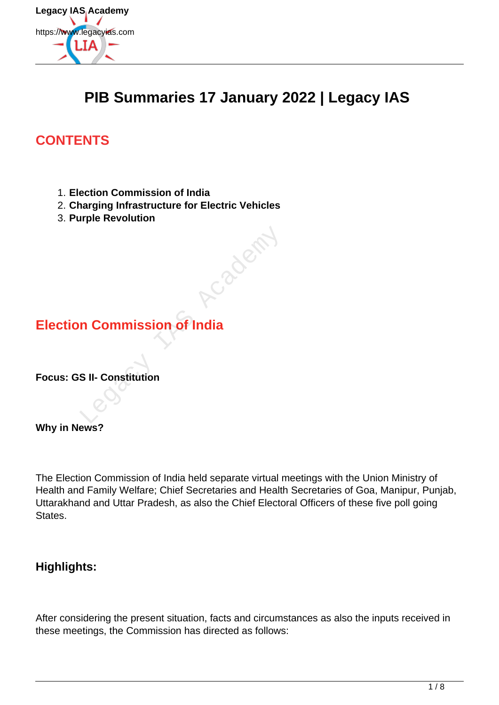

# **PIB Summaries 17 January 2022 | Legacy IAS**

ClayCetat.

## **CONTENTS**

- 1. **Election Commission of India**
- 2. **Charging Infrastructure for Electric Vehicles**
- 3. **Purple Revolution**

# **Election Commission of India**

**Focus: GS II- Constitution**

**Why in News?**

The Election Commission of India held separate virtual meetings with the Union Ministry of Health and Family Welfare; Chief Secretaries and Health Secretaries of Goa, Manipur, Punjab, Uttarakhand and Uttar Pradesh, as also the Chief Electoral Officers of these five poll going States.

### **Highlights:**

After considering the present situation, facts and circumstances as also the inputs received in these meetings, the Commission has directed as follows: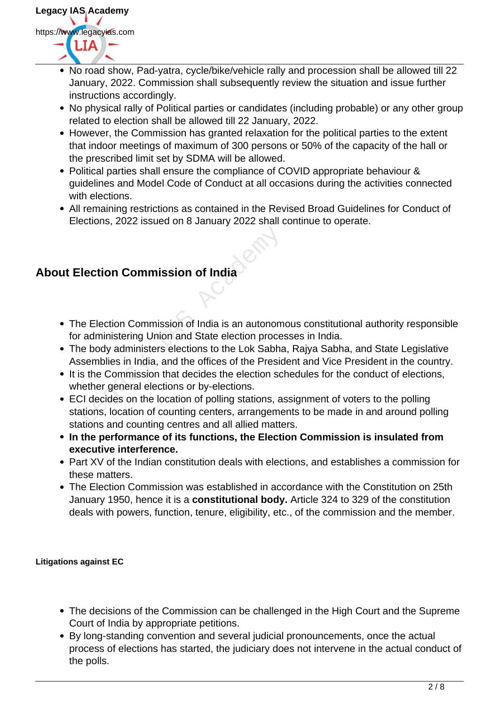

- No road show, Pad-yatra, cycle/bike/vehicle rally and procession shall be allowed till 22 January, 2022. Commission shall subsequently review the situation and issue further instructions accordingly.
- No physical rally of Political parties or candidates (including probable) or any other group related to election shall be allowed till 22 January, 2022.
- However, the Commission has granted relaxation for the political parties to the extent that indoor meetings of maximum of 300 persons or 50% of the capacity of the hall or the prescribed limit set by SDMA will be allowed.
- Political parties shall ensure the compliance of COVID appropriate behaviour & guidelines and Model Code of Conduct at all occasions during the activities connected with elections.
- All remaining restrictions as contained in the Revised Broad Guidelines for Conduct of Elections, 2022 issued on 8 January 2022 shall continue to operate.

## **About Election Commission of India**

- The Election Commission of India is an autonomous constitutional authority responsible for administering Union and State election processes in India.
- The body administers elections to the Lok Sabha, Rajya Sabha, and State Legislative Assemblies in India, and the offices of the President and Vice President in the country.
- It is the Commission that decides the election schedules for the conduct of elections, whether general elections or by-elections.
- ECI decides on the location of polling stations, assignment of voters to the polling stations, location of counting centers, arrangements to be made in and around polling stations and counting centres and all allied matters. Lection Commission of India<br>
Lection Commission of India<br>
Lection Commission of India is an autonom<br>
Lection Commission and State election proces<br>
Lection in India, and the offices of the Presid<br>
State Commission that deci
- **In the performance of its functions, the Election Commission is insulated from executive interference.**
- Part XV of the Indian constitution deals with elections, and establishes a commission for these matters.
- The Election Commission was established in accordance with the Constitution on 25th January 1950, hence it is a **constitutional body.** Article 324 to 329 of the constitution deals with powers, function, tenure, eligibility, etc., of the commission and the member.

### **Litigations against EC**

- The decisions of the Commission can be challenged in the High Court and the Supreme Court of India by appropriate petitions.
- By long-standing convention and several judicial pronouncements, once the actual process of elections has started, the judiciary does not intervene in the actual conduct of the polls.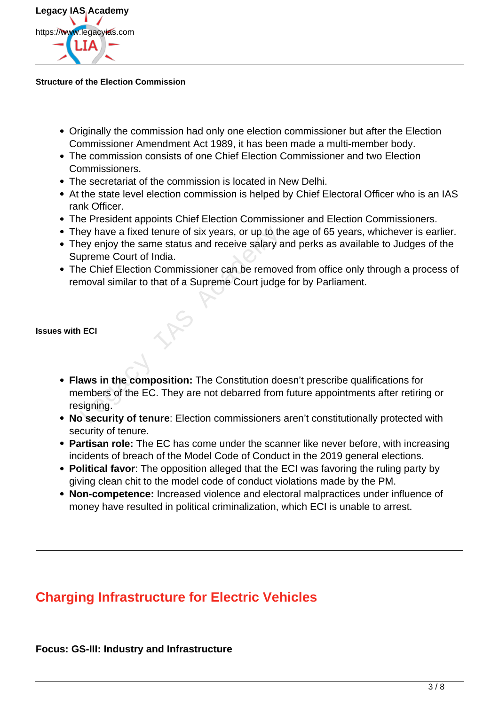

#### **Structure of the Election Commission**

- Originally the commission had only one election commissioner but after the Election Commissioner Amendment Act 1989, it has been made a multi-member body.
- The commission consists of one Chief Election Commissioner and two Election Commissioners.
- The secretariat of the commission is located in New Delhi.
- At the state level election commission is helped by Chief Electoral Officer who is an IAS rank Officer.
- The President appoints Chief Election Commissioner and Election Commissioners.
- They have a fixed tenure of six years, or up to the age of 65 years, whichever is earlier.
- They enjoy the same status and receive salary and perks as available to Judges of the Supreme Court of India.
- The Chief Election Commissioner can be removed from office only through a process of removal similar to that of a Supreme Court judge for by Parliament.

#### **Issues with ECI**

- **Flaws in the composition:** The Constitution doesn't prescribe qualifications for members of the EC. They are not debarred from future appointments after retiring or resigning. Experience of six years, or up to the eyenjoy the same status and receive salary a<br>preme Court of India.<br>The Chief Election Commissioner can be remove<br>moval similar to that of a Supreme Court judge<br>moval similar to that of
- **No security of tenure**: Election commissioners aren't constitutionally protected with security of tenure.
- **Partisan role:** The EC has come under the scanner like never before, with increasing incidents of breach of the Model Code of Conduct in the 2019 general elections.
- **Political favor**: The opposition alleged that the ECI was favoring the ruling party by giving clean chit to the model code of conduct violations made by the PM.
- **Non-competence:** Increased violence and electoral malpractices under influence of money have resulted in political criminalization, which ECI is unable to arrest.

## **Charging Infrastructure for Electric Vehicles**

### **Focus: GS-III: Industry and Infrastructure**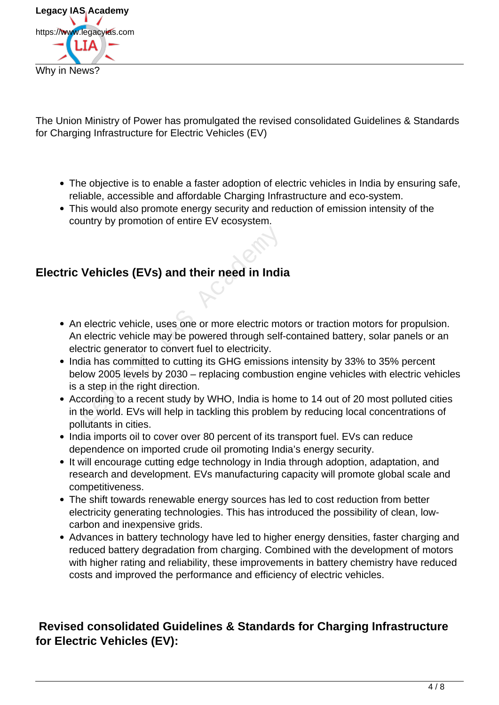

The Union Ministry of Power has promulgated the revised consolidated Guidelines & Standards for Charging Infrastructure for Electric Vehicles (EV)

- The objective is to enable a faster adoption of electric vehicles in India by ensuring safe, reliable, accessible and affordable Charging Infrastructure and eco-system.
- This would also promote energy security and reduction of emission intensity of the country by promotion of entire EV ecosystem.

## **Electric Vehicles (EVs) and their need in India**

- An electric vehicle, uses one or more electric motors or traction motors for propulsion. An electric vehicle may be powered through self-contained battery, solar panels or an electric generator to convert fuel to electricity. Vehicles (EVs) and their need in India<br>
Nelectric vehicle, uses one or more electric more electric vehicle may be powered through self-<br>
Exercity of the power of the power of through self-<br>
Exercity dia has committed to cu
- India has committed to cutting its GHG emissions intensity by 33% to 35% percent below 2005 levels by 2030 – replacing combustion engine vehicles with electric vehicles is a step in the right direction.
- According to a recent study by WHO, India is home to 14 out of 20 most polluted cities in the world. EVs will help in tackling this problem by reducing local concentrations of pollutants in cities.
- India imports oil to cover over 80 percent of its transport fuel. EVs can reduce dependence on imported crude oil promoting India's energy security.
- It will encourage cutting edge technology in India through adoption, adaptation, and research and development. EVs manufacturing capacity will promote global scale and competitiveness.
- The shift towards renewable energy sources has led to cost reduction from better electricity generating technologies. This has introduced the possibility of clean, lowcarbon and inexpensive grids.
- Advances in battery technology have led to higher energy densities, faster charging and reduced battery degradation from charging. Combined with the development of motors with higher rating and reliability, these improvements in battery chemistry have reduced costs and improved the performance and efficiency of electric vehicles.

## **Revised consolidated Guidelines & Standards for Charging Infrastructure for Electric Vehicles (EV):**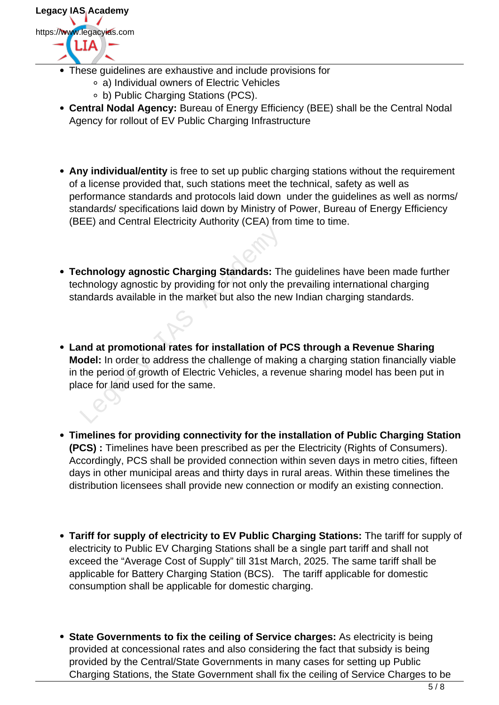**Legacy IAS Academy** https://www.legacyias.com

- These guidelines are exhaustive and include provisions for
	- a) Individual owners of Electric Vehicles
	- b) Public Charging Stations (PCS).
- **Central Nodal Agency:** Bureau of Energy Efficiency (BEE) shall be the Central Nodal Agency for rollout of EV Public Charging Infrastructure
- **Any individual/entity** is free to set up public charging stations without the requirement of a license provided that, such stations meet the technical, safety as well as performance standards and protocols laid down under the guidelines as well as norms/ standards/ specifications laid down by Ministry of Power, Bureau of Energy Efficiency (BEE) and Central Electricity Authority (CEA) from time to time.
- **Technology agnostic Charging Standards:** The guidelines have been made further technology agnostic by providing for not only the prevailing international charging standards available in the market but also the new Indian charging standards.
- **Land at promotional rates for installation of PCS through a Revenue Sharing Model:** In order to address the challenge of making a charging station financially viable in the period of growth of Electric Vehicles, a revenue sharing model has been put in place for land used for the same. chnology agnostic Charging Standards: The<br>chnology agnostic by providing for not only the<br>andards available in the market but also the ne<br>nd at promotional rates for installation of P<br>odel: In order to address the challeng
- **Timelines for providing connectivity for the installation of Public Charging Station (PCS) :** Timelines have been prescribed as per the Electricity (Rights of Consumers). Accordingly, PCS shall be provided connection within seven days in metro cities, fifteen days in other municipal areas and thirty days in rural areas. Within these timelines the distribution licensees shall provide new connection or modify an existing connection.
- **Tariff for supply of electricity to EV Public Charging Stations:** The tariff for supply of electricity to Public EV Charging Stations shall be a single part tariff and shall not exceed the "Average Cost of Supply" till 31st March, 2025. The same tariff shall be applicable for Battery Charging Station (BCS). The tariff applicable for domestic consumption shall be applicable for domestic charging.
- **State Governments to fix the ceiling of Service charges:** As electricity is being provided at concessional rates and also considering the fact that subsidy is being provided by the Central/State Governments in many cases for setting up Public Charging Stations, the State Government shall fix the ceiling of Service Charges to be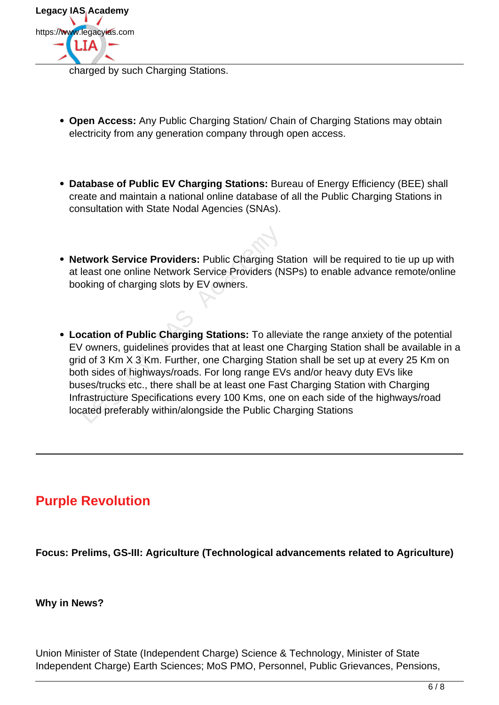

charged by such Charging Stations.

- **Open Access:** Any Public Charging Station/ Chain of Charging Stations may obtain electricity from any generation company through open access.
- **Database of Public EV Charging Stations:** Bureau of Energy Efficiency (BEE) shall create and maintain a national online database of all the Public Charging Stations in consultation with State Nodal Agencies (SNAs).
- **Network Service Providers:** Public Charging Station will be required to tie up up with at least one online Network Service Providers (NSPs) to enable advance remote/online booking of charging slots by EV owners.
- **Location of Public Charging Stations:** To alleviate the range anxiety of the potential EV owners, guidelines provides that at least one Charging Station shall be available in a grid of 3 Km X 3 Km. Further, one Charging Station shall be set up at every 25 Km on both sides of highways/roads. For long range EVs and/or heavy duty EVs like buses/trucks etc., there shall be at least one Fast Charging Station with Charging Infrastructure Specifications every 100 Kms, one on each side of the highways/road located preferably within/alongside the Public Charging Stations **Example 18 Service Providers:** Public Charging St<br>
least one online Network Service Providers (N<br>
oking of charging slots by EV owners.<br> **Cation of Public Charging Stations:** To allev<br>
vowners, guidelines provides that at

## **Purple Revolution**

**Focus: Prelims, GS-III: Agriculture (Technological advancements related to Agriculture)**

### **Why in News?**

Union Minister of State (Independent Charge) Science & Technology, Minister of State Independent Charge) Earth Sciences; MoS PMO, Personnel, Public Grievances, Pensions,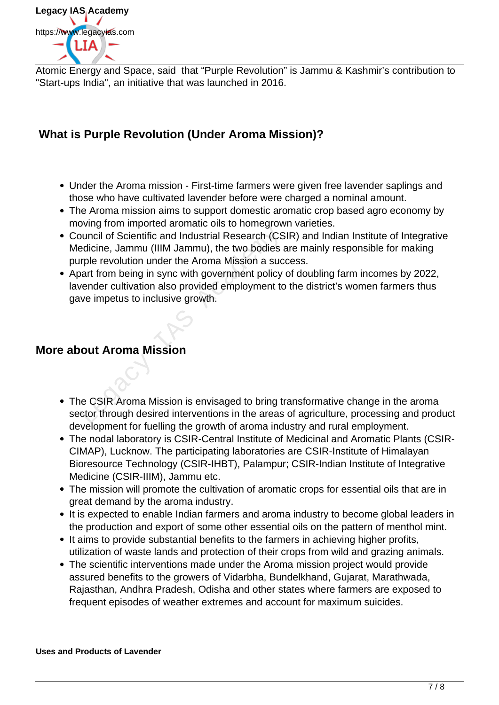

Atomic Energy and Space, said that "Purple Revolution" is Jammu & Kashmir's contribution to "Start-ups India", an initiative that was launched in 2016.

## **What is Purple Revolution (Under Aroma Mission)?**

- Under the Aroma mission First-time farmers were given free lavender saplings and those who have cultivated lavender before were charged a nominal amount.
- The Aroma mission aims to support domestic aromatic crop based agro economy by moving from imported aromatic oils to homegrown varieties.
- Council of Scientific and Industrial Research (CSIR) and Indian Institute of Integrative Medicine, Jammu (IIIM Jammu), the two bodies are mainly responsible for making purple revolution under the Aroma Mission a success. buncil of Scientific and Industrial Research (CS<br>
edicine, Jammu (IIIM Jammu), the two bodies a<br>
rple revolution under the Aroma Mission a suc<br>
art from being in sync with government policy<br>
vender cultivation also provide
- Apart from being in sync with government policy of doubling farm incomes by 2022, lavender cultivation also provided employment to the district's women farmers thus gave impetus to inclusive growth.

### **More about Aroma Mission**

- The CSIR Aroma Mission is envisaged to bring transformative change in the aroma sector through desired interventions in the areas of agriculture, processing and product development for fuelling the growth of aroma industry and rural employment.
- The nodal laboratory is CSIR-Central Institute of Medicinal and Aromatic Plants (CSIR-CIMAP), Lucknow. The participating laboratories are CSIR-Institute of Himalayan Bioresource Technology (CSIR-IHBT), Palampur; CSIR-Indian Institute of Integrative Medicine (CSIR-IIIM), Jammu etc.
- The mission will promote the cultivation of aromatic crops for essential oils that are in great demand by the aroma industry.
- It is expected to enable Indian farmers and aroma industry to become global leaders in the production and export of some other essential oils on the pattern of menthol mint.
- It aims to provide substantial benefits to the farmers in achieving higher profits, utilization of waste lands and protection of their crops from wild and grazing animals.
- The scientific interventions made under the Aroma mission project would provide assured benefits to the growers of Vidarbha, Bundelkhand, Gujarat, Marathwada, Rajasthan, Andhra Pradesh, Odisha and other states where farmers are exposed to frequent episodes of weather extremes and account for maximum suicides.

**Uses and Products of Lavender**